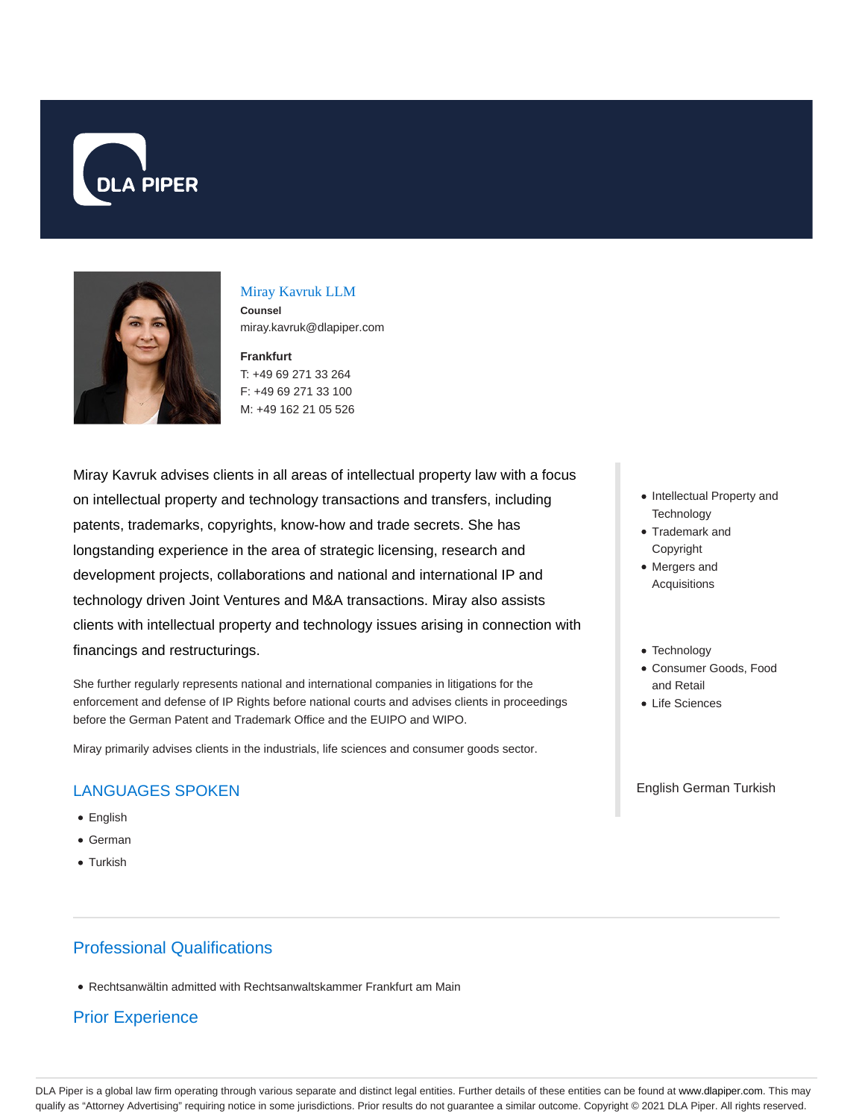



## Miray Kavruk LLM

**Counsel** miray.kavruk@dlapiper.com

**Frankfurt** T: +49 69 271 33 264 F: +49 69 271 33 100 M: +49 162 21 05 526

Miray Kavruk advises clients in all areas of intellectual property law with a focus on intellectual property and technology transactions and transfers, including patents, trademarks, copyrights, know-how and trade secrets. She has longstanding experience in the area of strategic licensing, research and development projects, collaborations and national and international IP and technology driven Joint Ventures and M&A transactions. Miray also assists clients with intellectual property and technology issues arising in connection with financings and restructurings.

She further regularly represents national and international companies in litigations for the enforcement and defense of IP Rights before national courts and advises clients in proceedings before the German Patent and Trademark Office and the EUIPO and WIPO.

Miray primarily advises clients in the industrials, life sciences and consumer goods sector.

# LANGUAGES SPOKEN

- English
- German
- Turkish

# Professional Qualifications

Rechtsanwältin admitted with Rechtsanwaltskammer Frankfurt am Main

# Prior Experience

- Intellectual Property and **Technology**
- Trademark and Copyright
- Mergers and Acquisitions
- Technology
- Consumer Goods, Food and Retail
- Life Sciences

English German Turkish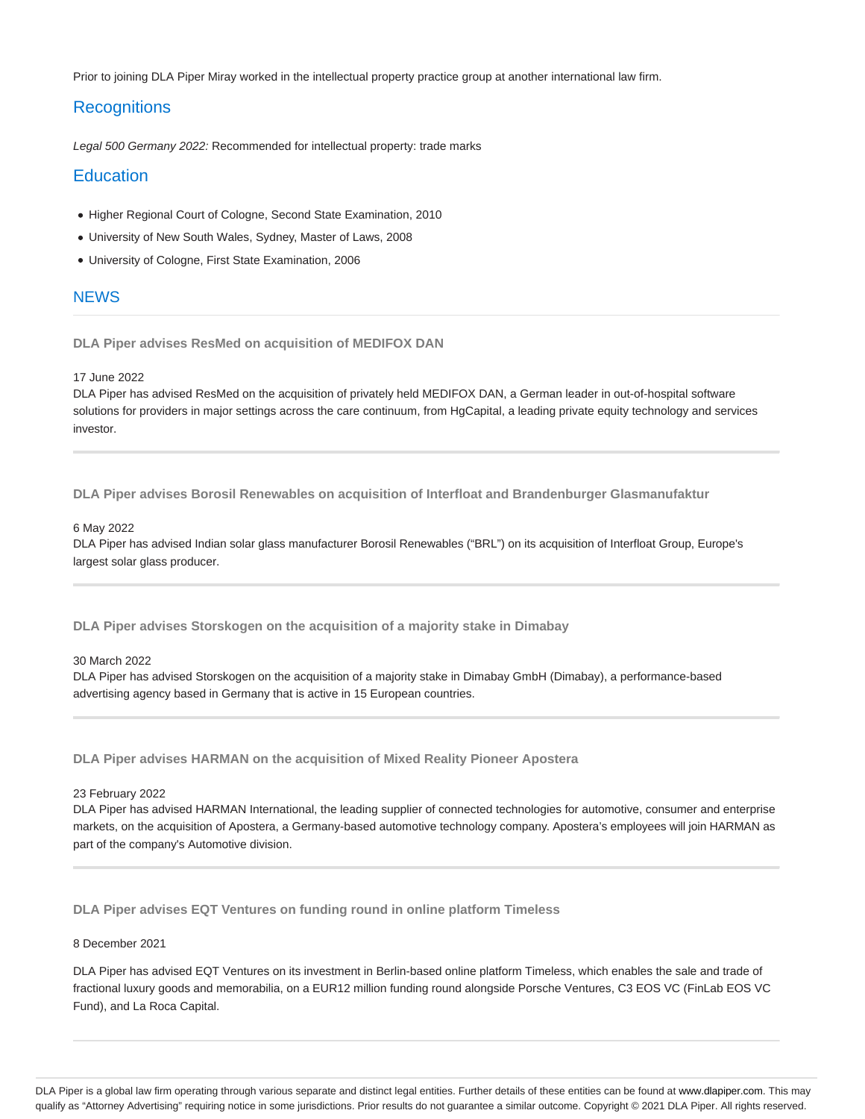Prior to joining DLA Piper Miray worked in the intellectual property practice group at another international law firm.

## **Recognitions**

Legal 500 Germany 2022: Recommended for intellectual property: trade marks

## **Education**

- Higher Regional Court of Cologne, Second State Examination, 2010
- University of New South Wales, Sydney, Master of Laws, 2008
- University of Cologne, First State Examination, 2006

## **NEWS**

**DLA Piper advises ResMed on acquisition of MEDIFOX DAN**

## 17 June 2022

DLA Piper has advised ResMed on the acquisition of privately held MEDIFOX DAN, a German leader in out-of-hospital software solutions for providers in major settings across the care continuum, from HgCapital, a leading private equity technology and services investor.

**DLA Piper advises Borosil Renewables on acquisition of Interfloat and Brandenburger Glasmanufaktur**

## 6 May 2022

DLA Piper has advised Indian solar glass manufacturer Borosil Renewables ("BRL") on its acquisition of Interfloat Group, Europe's largest solar glass producer.

**DLA Piper advises Storskogen on the acquisition of a majority stake in Dimabay**

## 30 March 2022

DLA Piper has advised Storskogen on the acquisition of a majority stake in Dimabay GmbH (Dimabay), a performance-based advertising agency based in Germany that is active in 15 European countries.

**DLA Piper advises HARMAN on the acquisition of Mixed Reality Pioneer Apostera**

#### 23 February 2022

DLA Piper has advised HARMAN International, the leading supplier of connected technologies for automotive, consumer and enterprise markets, on the acquisition of Apostera, a Germany-based automotive technology company. Apostera's employees will join HARMAN as part of the company's Automotive division.

**DLA Piper advises EQT Ventures on funding round in online platform Timeless**

#### 8 December 2021

DLA Piper has advised EQT Ventures on its investment in Berlin-based online platform Timeless, which enables the sale and trade of fractional luxury goods and memorabilia, on a EUR12 million funding round alongside Porsche Ventures, C3 EOS VC (FinLab EOS VC Fund), and La Roca Capital.

DLA Piper is a global law firm operating through various separate and distinct legal entities. Further details of these entities can be found at www.dlapiper.com. This may qualify as "Attorney Advertising" requiring notice in some jurisdictions. Prior results do not guarantee a similar outcome. Copyright @ 2021 DLA Piper. All rights reserved.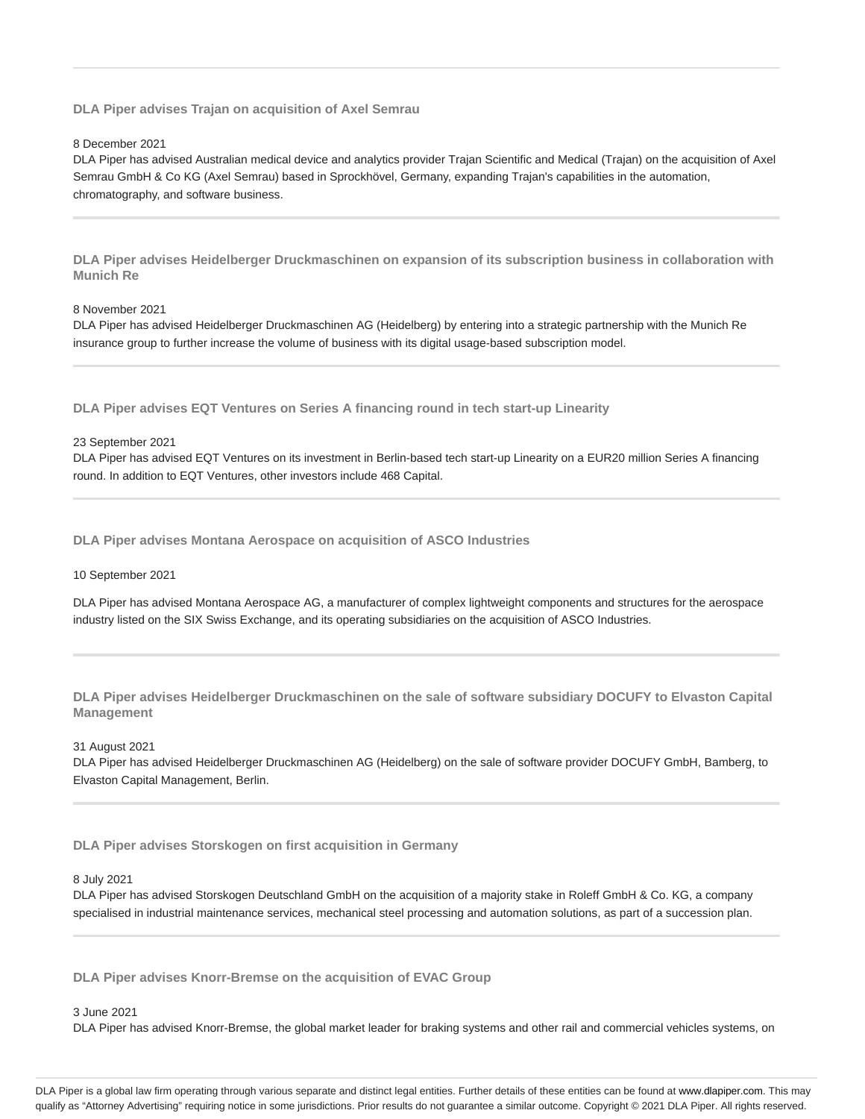**DLA Piper advises Trajan on acquisition of Axel Semrau**

## 8 December 2021

DLA Piper has advised Australian medical device and analytics provider Trajan Scientific and Medical (Trajan) on the acquisition of Axel Semrau GmbH & Co KG (Axel Semrau) based in Sprockhövel, Germany, expanding Trajan's capabilities in the automation, chromatography, and software business.

**DLA Piper advises Heidelberger Druckmaschinen on expansion of its subscription business in collaboration with Munich Re**

## 8 November 2021

DLA Piper has advised Heidelberger Druckmaschinen AG (Heidelberg) by entering into a strategic partnership with the Munich Re insurance group to further increase the volume of business with its digital usage-based subscription model.

**DLA Piper advises EQT Ventures on Series A financing round in tech start-up Linearity**

## 23 September 2021

DLA Piper has advised EQT Ventures on its investment in Berlin-based tech start-up Linearity on a EUR20 million Series A financing round. In addition to EQT Ventures, other investors include 468 Capital.

**DLA Piper advises Montana Aerospace on acquisition of ASCO Industries**

## 10 September 2021

DLA Piper has advised Montana Aerospace AG, a manufacturer of complex lightweight components and structures for the aerospace industry listed on the SIX Swiss Exchange, and its operating subsidiaries on the acquisition of ASCO Industries.

**DLA Piper advises Heidelberger Druckmaschinen on the sale of software subsidiary DOCUFY to Elvaston Capital Management**

## 31 August 2021

DLA Piper has advised Heidelberger Druckmaschinen AG (Heidelberg) on the sale of software provider DOCUFY GmbH, Bamberg, to Elvaston Capital Management, Berlin.

**DLA Piper advises Storskogen on first acquisition in Germany**

## 8 July 2021

DLA Piper has advised Storskogen Deutschland GmbH on the acquisition of a majority stake in Roleff GmbH & Co. KG, a company specialised in industrial maintenance services, mechanical steel processing and automation solutions, as part of a succession plan.

**DLA Piper advises Knorr-Bremse on the acquisition of EVAC Group**

## 3 June 2021

DLA Piper has advised Knorr-Bremse, the global market leader for braking systems and other rail and commercial vehicles systems, on

DLA Piper is a global law firm operating through various separate and distinct legal entities. Further details of these entities can be found at www.dlapiper.com. This may qualify as "Attorney Advertising" requiring notice in some jurisdictions. Prior results do not guarantee a similar outcome. Copyright @ 2021 DLA Piper. All rights reserved.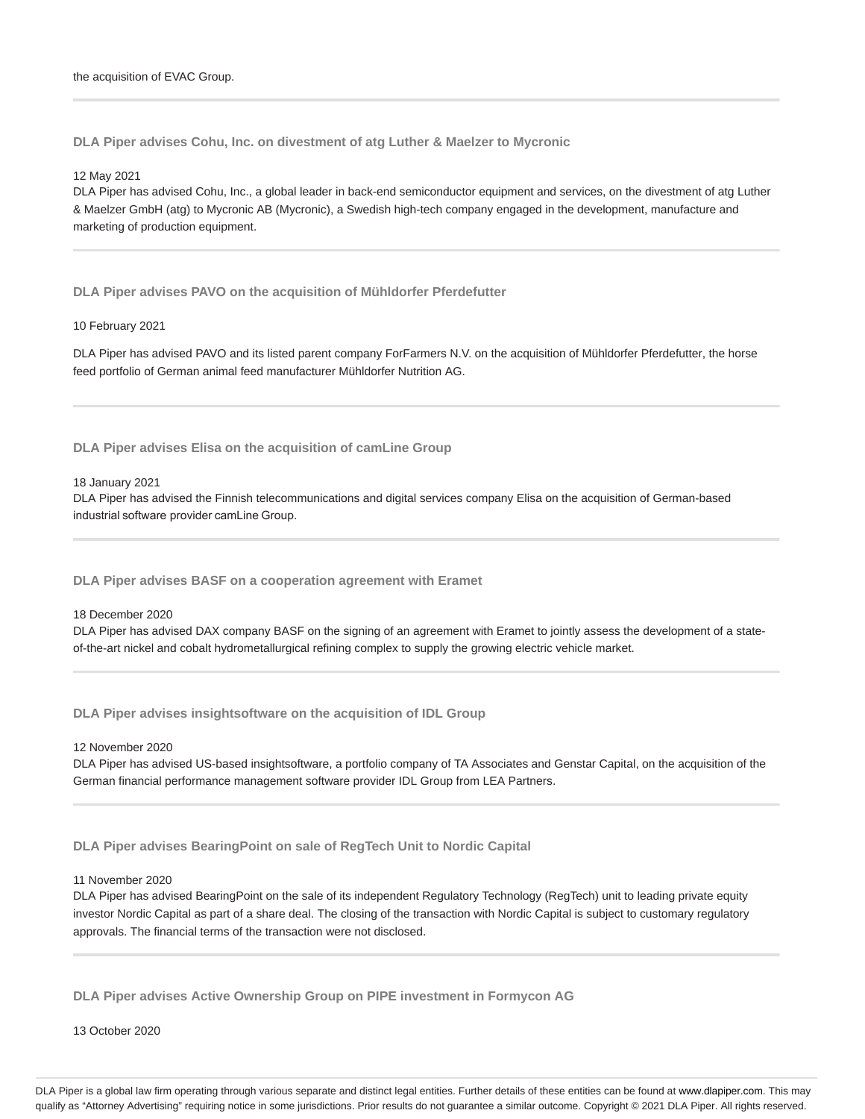**DLA Piper advises Cohu, Inc. on divestment of atg Luther & Maelzer to Mycronic**

12 May 2021

DLA Piper has advised Cohu, Inc., a global leader in back-end semiconductor equipment and services, on the divestment of atg Luther & Maelzer GmbH (atg) to Mycronic AB (Mycronic), a Swedish high-tech company engaged in the development, manufacture and marketing of production equipment.

**DLA Piper advises PAVO on the acquisition of Mühldorfer Pferdefutter**

#### 10 February 2021

DLA Piper has advised PAVO and its listed parent company ForFarmers N.V. on the acquisition of Mühldorfer Pferdefutter, the horse feed portfolio of German animal feed manufacturer Mühldorfer Nutrition AG.

**DLA Piper advises Elisa on the acquisition of camLine Group**

18 January 2021

DLA Piper has advised the Finnish telecommunications and digital services company Elisa on the acquisition of German-based industrial software provider camLine Group.

**DLA Piper advises BASF on a cooperation agreement with Eramet**

18 December 2020

DLA Piper has advised DAX company BASF on the signing of an agreement with Eramet to jointly assess the development of a stateof-the-art nickel and cobalt hydrometallurgical refining complex to supply the growing electric vehicle market.

**DLA Piper advises insightsoftware on the acquisition of IDL Group**

12 November 2020

DLA Piper has advised US-based insightsoftware, a portfolio company of TA Associates and Genstar Capital, on the acquisition of the German financial performance management software provider IDL Group from LEA Partners.

**DLA Piper advises BearingPoint on sale of RegTech Unit to Nordic Capital**

11 November 2020

DLA Piper has advised BearingPoint on the sale of its independent Regulatory Technology (RegTech) unit to leading private equity investor Nordic Capital as part of a share deal. The closing of the transaction with Nordic Capital is subject to customary regulatory approvals. The financial terms of the transaction were not disclosed.

**DLA Piper advises Active Ownership Group on PIPE investment in Formycon AG**

13 October 2020

DLA Piper is a global law firm operating through various separate and distinct legal entities. Further details of these entities can be found at www.dlapiper.com. This may qualify as "Attorney Advertising" requiring notice in some jurisdictions. Prior results do not guarantee a similar outcome. Copyright @ 2021 DLA Piper. All rights reserved.